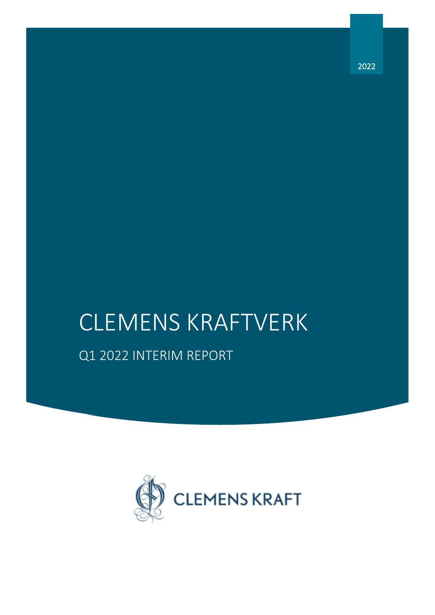# CLEMENS KRAFTVERK

# Q1 2022 INTERIM REPORT



2022

*Q1 2022 interim report – Clemens Kraft in brief*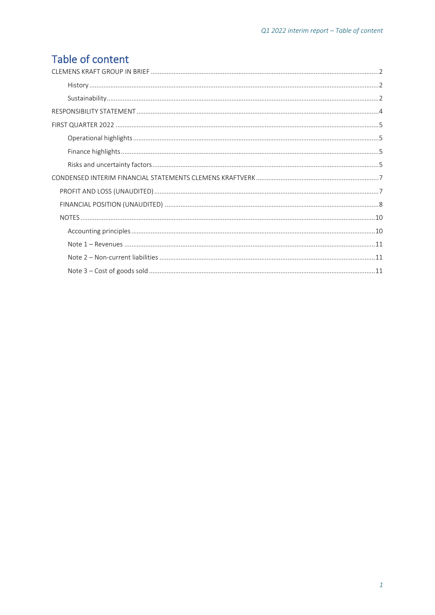# Table of content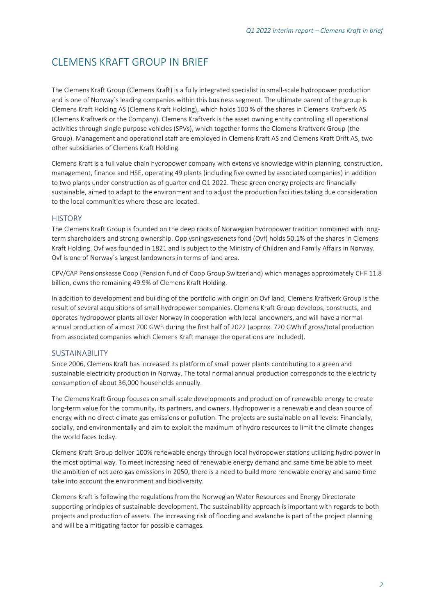# <span id="page-2-0"></span>CLEMENS KRAFT GROUP IN BRIEF

The Clemens Kraft Group (Clemens Kraft) is a fully integrated specialist in small-scale hydropower production and is one of Norway`s leading companies within this business segment. The ultimate parent of the group is Clemens Kraft Holding AS (Clemens Kraft Holding), which holds 100 % of the shares in Clemens Kraftverk AS (Clemens Kraftverk or the Company). Clemens Kraftverk is the asset owning entity controlling all operational activities through single purpose vehicles (SPVs), which together forms the Clemens Kraftverk Group (the Group). Management and operational staff are employed in Clemens Kraft AS and Clemens Kraft Drift AS, two other subsidiaries of Clemens Kraft Holding.

Clemens Kraft is a full value chain hydropower company with extensive knowledge within planning, construction, management, finance and HSE, operating 49 plants (including five owned by associated companies) in addition to two plants under construction as of quarter end Q1 2022. These green energy projects are financially sustainable, aimed to adapt to the environment and to adjust the production facilities taking due consideration to the local communities where these are located.

#### <span id="page-2-1"></span>**HISTORY**

The Clemens Kraft Group is founded on the deep roots of Norwegian hydropower tradition combined with longterm shareholders and strong ownership. Opplysningsvesenets fond (Ovf) holds 50.1% of the shares in Clemens Kraft Holding. Ovf was founded in 1821 and is subject to the Ministry of Children and Family Affairs in Norway. Ovf is one of Norway`s largest landowners in terms of land area.

CPV/CAP Pensionskasse Coop (Pension fund of Coop Group Switzerland) which manages approximately CHF 11.8 billion, owns the remaining 49.9% of Clemens Kraft Holding.

In addition to development and building of the portfolio with origin on Ovf land, Clemens Kraftverk Group is the result of several acquisitions of small hydropower companies. Clemens Kraft Group develops, constructs, and operates hydropower plants all over Norway in cooperation with local landowners, and will have a normal annual production of almost 700 GWh during the first half of 2022 (approx. 720 GWh if gross/total production from associated companies which Clemens Kraft manage the operations are included).

#### <span id="page-2-2"></span>SUSTAINABILITY

Since 2006, Clemens Kraft has increased its platform of small power plants contributing to a green and sustainable electricity production in Norway. The total normal annual production corresponds to the electricity consumption of about 36,000 households annually.

The Clemens Kraft Group focuses on small-scale developments and production of renewable energy to create long-term value for the community, its partners, and owners. Hydropower is a renewable and clean source of energy with no direct climate gas emissions or pollution. The projects are sustainable on all levels: Financially, socially, and environmentally and aim to exploit the maximum of hydro resources to limit the climate changes the world faces today.

Clemens Kraft Group deliver 100% renewable energy through local hydropower stations utilizing hydro power in the most optimal way. To meet increasing need of renewable energy demand and same time be able to meet the ambition of net zero gas emissions in 2050, there is a need to build more renewable energy and same time take into account the environment and biodiversity.

Clemens Kraft is following the regulations from the Norwegian Water Resources and Energy Directorate supporting principles of sustainable development. The sustainability approach is important with regards to both projects and production of assets. The increasing risk of flooding and avalanche is part of the project planning and will be a mitigating factor for possible damages.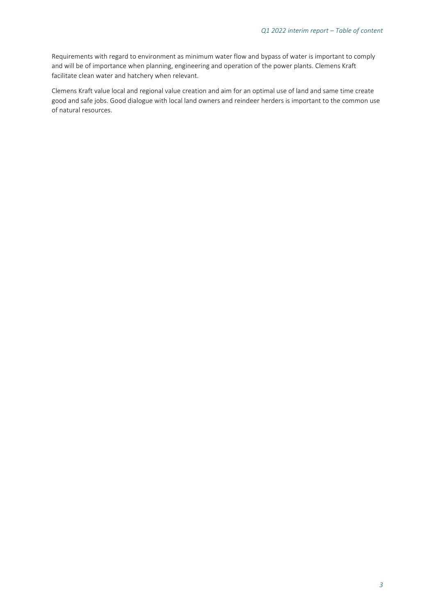Requirements with regard to environment as minimum water flow and bypass of water is important to comply and will be of importance when planning, engineering and operation of the power plants. Clemens Kraft facilitate clean water and hatchery when relevant.

Clemens Kraft value local and regional value creation and aim for an optimal use of land and same time create good and safe jobs. Good dialogue with local land owners and reindeer herders is important to the common use of natural resources.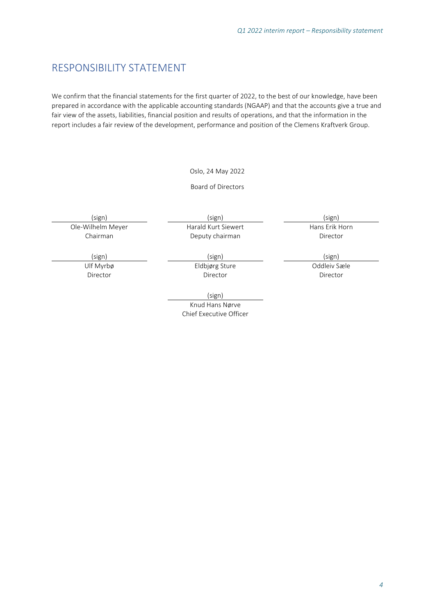### <span id="page-4-0"></span>RESPONSIBILITY STATEMENT

We confirm that the financial statements for the first quarter of 2022, to the best of our knowledge, have been prepared in accordance with the applicable accounting standards (NGAAP) and that the accounts give a true and fair view of the assets, liabilities, financial position and results of operations, and that the information in the report includes a fair review of the development, performance and position of the Clemens Kraftverk Group.

#### Oslo, 24 May 2022

#### Board of Directors

Ole-Wilhelm Meyer Chairman

(sign) (sign) (sign) Harald Kurt Siewert Deputy chairman

Hans Erik Horn Director

Ulf Myrbø

Director

(sign) (sign) (sign) Eldbjørg Sture Director

> (sign) Knud Hans Nørve Chief Executive Officer

Oddleiv Sæle Director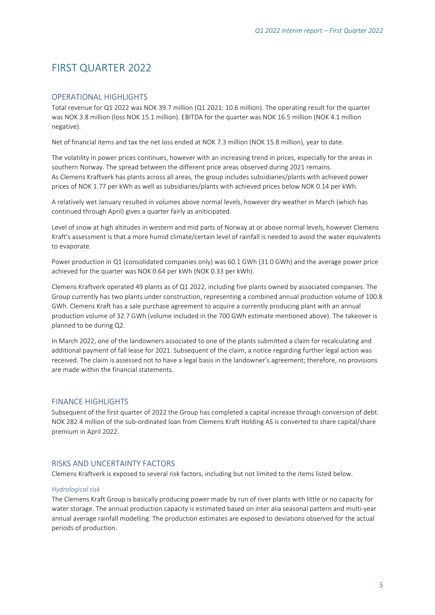# <span id="page-5-0"></span>FIRST QUARTER 2022

#### <span id="page-5-1"></span>OPERATIONAL HIGHLIGHTS

Total revenue for Q1 2022 was NOK 39.7 million (Q1 2021: 10.6 million). The operating result for the quarter was NOK 3.8 million (loss NOK 15.1 million). EBITDA for the quarter was NOK 16.5 million (NOK 4.1 million negative).

Net of financial items and tax the net loss ended at NOK 7.3 million (NOK 15.8 million), year to date.

The volatility in power prices continues, however with an increasing trend in prices, especially for the areas in southern Norway. The spread between the different price areas observed during 2021 remains. As Clemens Kraftverk has plants across all areas, the group includes subsidiaries/plants with achieved power prices of NOK 1.77 per kWh as well as subsidiaries/plants with achieved prices below NOK 0.14 per kWh.

A relatively wet January resulted in volumes above normal levels, however dry weather in March (which has continued through April) gives a quarter fairly as aniticipated.

Level of snow at high altitudes in western and mid parts of Norway at or above normal levels, however Clemens Kraft's assessment is that a more humid climate/certain level of rainfall is needed to avoid the water equivalents to evaporate.

Power production in Q1 (consolidated companies only) was 60.1 GWh (31.0 GWh) and the average power price achieved for the quarter was NOK 0.64 per kWh (NOK 0.33 per kWh).

Clemens Kraftverk operated 49 plants as of Q1 2022, including five plants owned by associated companies. The Group currently has two plants under construction, representing a combined annual production volume of 100.8 GWh. Clemens Kraft has a sale purchase agreement to acquire a currently producing plant with an annual production volume of 32.7 GWh (volume included in the 700 GWh estimate mentioned above). The takeover is planned to be during Q2.

In March 2022, one of the landowners associated to one of the plants submitted a claim for recalculating and additional payment of fall lease for 2021. Subsequent of the claim, a notice regarding further legal action was received. The claim is assessed not to have a legal basis in the landowner's agreement; therefore, no provisions are made within the financial statements.

#### <span id="page-5-2"></span>FINANCE HIGHLIGHTS

Subsequent of the first quarter of 2022 the Group has completed a capital increase through conversion of debt. NOK 282.4 million of the sub-ordinated loan from Clemens Kraft Holding AS is converted to share capital/share premium in April 2022.

#### <span id="page-5-3"></span>RISKS AND UNCERTAINTY FACTORS

Clemens Kraftverk is exposed to several risk factors, including but not limited to the items listed below.

#### *Hydrological risk*

The Clemens Kraft Group is basically producing power made by run of river plants with little or no capacity for water storage. The annual production capacity is estimated based on inter alia seasonal pattern and multi-year annual average rainfall modelling. The production estimates are exposed to deviations observed for the actual periods of production.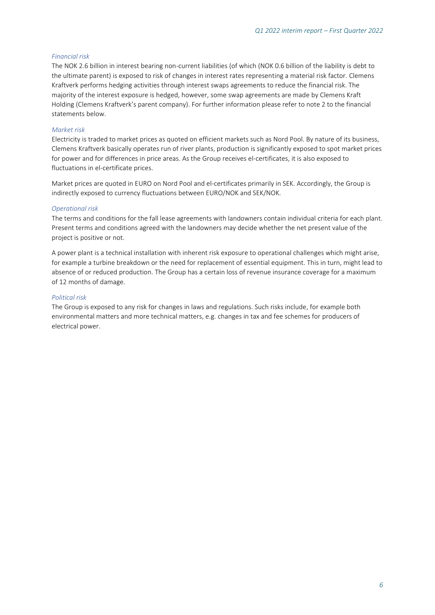#### *Financial risk*

The NOK 2.6 billion in interest bearing non-current liabilities (of which (NOK 0.6 billion of the liability is debt to the ultimate parent) is exposed to risk of changes in interest rates representing a material risk factor. Clemens Kraftverk performs hedging activities through interest swaps agreements to reduce the financial risk. The majority of the interest exposure is hedged, however, some swap agreements are made by Clemens Kraft Holding (Clemens Kraftverk's parent company). For further information please refer to note 2 to the financial statements below.

#### *Market risk*

Electricity is traded to market prices as quoted on efficient markets such as Nord Pool. By nature of its business, Clemens Kraftverk basically operates run of river plants, production is significantly exposed to spot market prices for power and for differences in price areas. As the Group receives el-certificates, it is also exposed to fluctuations in el-certificate prices.

Market prices are quoted in EURO on Nord Pool and el-certificates primarily in SEK. Accordingly, the Group is indirectly exposed to currency fluctuations between EURO/NOK and SEK/NOK.

#### *Operational risk*

The terms and conditions for the fall lease agreements with landowners contain individual criteria for each plant. Present terms and conditions agreed with the landowners may decide whether the net present value of the project is positive or not.

A power plant is a technical installation with inherent risk exposure to operational challenges which might arise, for example a turbine breakdown or the need for replacement of essential equipment. This in turn, might lead to absence of or reduced production. The Group has a certain loss of revenue insurance coverage for a maximum of 12 months of damage.

#### *Political risk*

The Group is exposed to any risk for changes in laws and regulations. Such risks include, for example both environmental matters and more technical matters, e.g. changes in tax and fee schemes for producers of electrical power.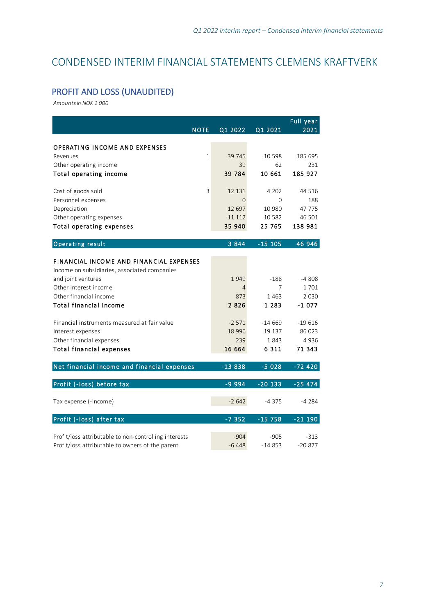# <span id="page-7-0"></span>CONDENSED INTERIM FINANCIAL STATEMENTS CLEMENS KRAFTVERK

## <span id="page-7-1"></span>PROFIT AND LOSS (UNAUDITED)

| Amounts in NOK 1 000                                        |                  |                   |                   |
|-------------------------------------------------------------|------------------|-------------------|-------------------|
| <b>NOTE</b>                                                 | Q1 2022          |                   | Full year<br>2021 |
|                                                             |                  | Q1 2021           |                   |
| <b>OPERATING INCOME AND EXPENSES</b>                        |                  |                   |                   |
| Revenues                                                    | 1<br>39 745      | 10 5 98           | 185 695           |
| Other operating income                                      | 39               | 62                | 231               |
| Total operating income                                      | 39 784           | 10 661            | 185 927           |
|                                                             |                  |                   |                   |
| Cost of goods sold                                          | 3<br>12 131      | 4 2 0 2           | 44 516            |
| Personnel expenses                                          | $\overline{0}$   | $\Omega$          | 188               |
| Depreciation                                                | 12 697<br>11 112 | 10 980<br>10 5 82 | 47 775<br>46 501  |
| Other operating expenses<br><b>Total operating expenses</b> | 35 940           | 25 765            | 138 981           |
|                                                             |                  |                   |                   |
| <b>Operating result</b>                                     | 3 8 4 4          | $-15$ 105         | 46 946            |
|                                                             |                  |                   |                   |
| <b>FINANCIAL INCOME AND FINANCIAL EXPENSES</b>              |                  |                   |                   |
| Income on subsidiaries, associated companies                |                  |                   |                   |
| and joint ventures                                          | 1949             | $-188$            | $-4808$           |
| Other interest income                                       | 4                | 7                 | 1701              |
| Other financial income                                      | 873              | 1463              | 2 0 3 0           |
| Total financial income                                      | 2826             | 1 2 8 3           | $-1077$           |
| Financial instruments measured at fair value                | $-2571$          | $-14669$          | $-19616$          |
| Interest expenses                                           | 18 9 96          | 19 137            | 86 023            |
| Other financial expenses                                    | 239              | 1843              | 4936              |
| <b>Total financial expenses</b>                             | 16 664           | 6311              | 71 343            |
|                                                             |                  |                   |                   |
| Net financial income and financial expenses                 | $-13838$         | $-5028$           | $-72420$          |
| Profit (-loss) before tax                                   | $-9994$          | $-20133$          | $-25474$          |
|                                                             |                  |                   |                   |
| Tax expense (-income)                                       | $-2642$          | -4375             | -4 284            |
| Profit (-loss) after tax                                    | $-7352$          | $-15758$          | $-21$ 190         |
| Profit/loss attributable to non-controlling interests       | $-904$           | $-905$            | $-313$            |
| Profit/loss attributable to owners of the parent            | $-6448$          | $-14853$          | $-20877$          |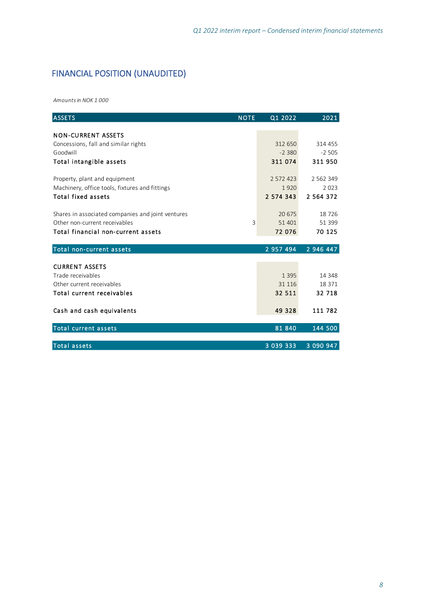# <span id="page-8-0"></span>FINANCIAL POSITION (UNAUDITED)

*Amounts in NOK 1 000*

| <b>ASSETS</b>                                     | <b>NOTE</b> | Q1 2022       | 2021          |
|---------------------------------------------------|-------------|---------------|---------------|
|                                                   |             |               |               |
| <b>NON-CURRENT ASSETS</b>                         |             |               |               |
| Concessions, fall and similar rights              |             | 312 650       | 314 455       |
| Goodwill                                          |             | $-2.380$      | $-2505$       |
| Total intangible assets                           |             | 311 074       | 311 950       |
|                                                   |             | 2 572 423     |               |
| Property, plant and equipment                     |             |               | 2 5 6 2 3 4 9 |
| Machinery, office tools, fixtures and fittings    |             | 1920          | 2023          |
| <b>Total fixed assets</b>                         |             | 2 574 343     | 2 5 6 4 3 7 2 |
| Shares in associated companies and joint ventures |             | 20 675        | 18726         |
| Other non-current receivables                     | 3           | 51 401        | 51 399        |
| Total financial non-current assets                |             | 72 076        | 70 125        |
|                                                   |             |               |               |
| Total non-current assets                          |             | 2 957 494     | 2 946 447     |
|                                                   |             |               |               |
| <b>CURRENT ASSETS</b>                             |             |               |               |
| Trade receivables                                 |             | 1 3 9 5       | 14 348        |
| Other current receivables                         |             | 31 116        | 18 371        |
| Total current receivables                         |             | 32 511        | 32 718        |
| Cash and cash equivalents                         |             | 49 328        | 111 782       |
| <b>Total current assets</b>                       |             | 81 840        | 144 500       |
|                                                   |             |               |               |
| <b>Total assets</b>                               |             | 3 0 3 9 3 3 3 | 3 090 947     |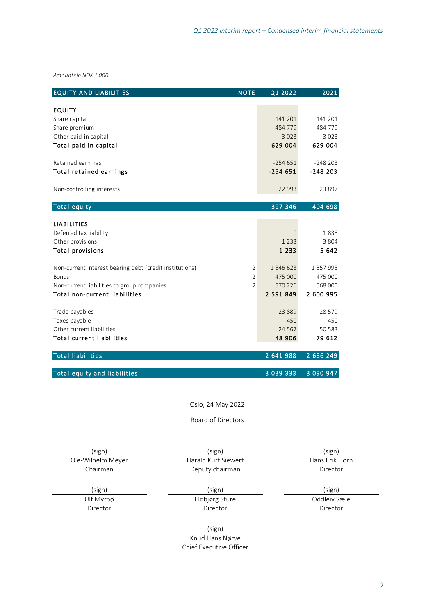| Amounts in NOK 1000                                     |                |           |                  |
|---------------------------------------------------------|----------------|-----------|------------------|
| <b>EQUITY AND LIABILITIES</b>                           | <b>NOTE</b>    | Q1 2022   | 2021             |
| EQUITY                                                  |                |           |                  |
| Share capital                                           |                | 141 201   | 141 201          |
| Share premium                                           |                | 484 779   | 484 779          |
| Other paid-in capital                                   |                | 3 0 2 3   | 3 0 2 3          |
| Total paid in capital                                   |                | 629 004   | 629 004          |
| Retained earnings                                       |                | $-254651$ | $-248203$        |
| Total retained earnings                                 |                | $-254651$ | $-248203$        |
| Non-controlling interests                               |                | 22 993    | 23 897           |
| <b>Total equity</b>                                     |                | 397 346   | 404 698          |
|                                                         |                |           |                  |
| <b>LIABILITIES</b>                                      |                |           |                  |
| Deferred tax liability                                  |                | $\Omega$  | 1838             |
| Other provisions                                        |                | 1 2 3 3   | 3 8 0 4<br>5 642 |
| <b>Total provisions</b>                                 |                | 1 2 3 3   |                  |
| Non-current interest bearing debt (credit institutions) | 2              | 1 546 623 | 1 557 995        |
| <b>Bonds</b>                                            | $\overline{2}$ | 475 000   | 475 000          |
| Non-current liabilities to group companies              | $\overline{2}$ | 570 226   | 568 000          |
| Total non-current liabilities                           |                | 2 591 849 | 2 600 995        |
| Trade payables                                          |                | 23 8 89   | 28 579           |
| Taxes payable                                           |                | 450       | 450              |
| Other current liabilities                               |                | 24 5 67   | 50 583           |
| <b>Total current liabilities</b>                        |                | 48 906    | 79 612           |
| <b>Total liabilities</b>                                |                | 2 641 988 | 2 686 249        |
| <b>Total equity and liabilities</b>                     |                | 3 039 333 | 3 090 947        |
| Oslo, 24 May 2022                                       |                |           |                  |

Board of Directors

(sign) (sign) (sign) Ole-Wilhelm Meyer Chairman

Harald Kurt Siewert Deputy chairman

Hans Erik Horn Director

Ulf Myrbø **Director** 

Eldbjørg Sture **Director** 

(sign) (sign) (sign) Oddleiv Sæle Director

(sign)

Knud Hans Nørve Chief Executive Officer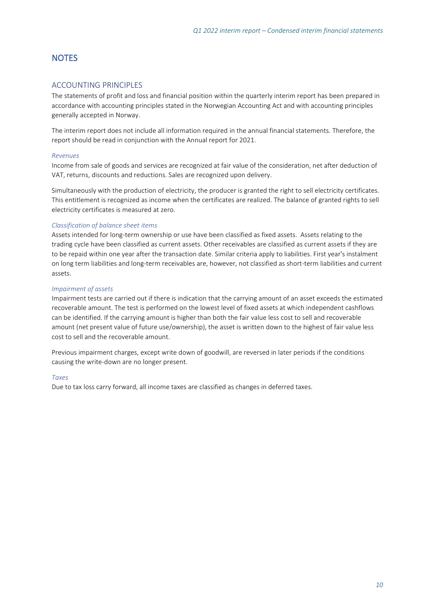### <span id="page-10-0"></span>**NOTES**

#### <span id="page-10-1"></span>ACCOUNTING PRINCIPLES

The statements of profit and loss and financial position within the quarterly interim report has been prepared in accordance with accounting principles stated in the Norwegian Accounting Act and with accounting principles generally accepted in Norway.

The interim report does not include all information required in the annual financial statements. Therefore, the report should be read in conjunction with the Annual report for 2021.

#### *Revenues*

Income from sale of goods and services are recognized at fair value of the consideration, net after deduction of VAT, returns, discounts and reductions. Sales are recognized upon delivery.

Simultaneously with the production of electricity, the producer is granted the right to sell electricity certificates. This entitlement is recognized as income when the certificates are realized. The balance of granted rights to sell electricity certificates is measured at zero.

#### *Classification of balance sheet items*

Assets intended for long-term ownership or use have been classified as fixed assets. Assets relating to the trading cycle have been classified as current assets. Other receivables are classified as current assets if they are to be repaid within one year after the transaction date. Similar criteria apply to liabilities. First year's instalment on long term liabilities and long-term receivables are, however, not classified as short-term liabilities and current assets.

#### *Impairment of assets*

Impairment tests are carried out if there is indication that the carrying amount of an asset exceeds the estimated recoverable amount. The test is performed on the lowest level of fixed assets at which independent cashflows can be identified. If the carrying amount is higher than both the fair value less cost to sell and recoverable amount (net present value of future use/ownership), the asset is written down to the highest of fair value less cost to sell and the recoverable amount.

Previous impairment charges, except write down of goodwill, are reversed in later periods if the conditions causing the write-down are no longer present.

#### *Taxes*

Due to tax loss carry forward, all income taxes are classified as changes in deferred taxes.